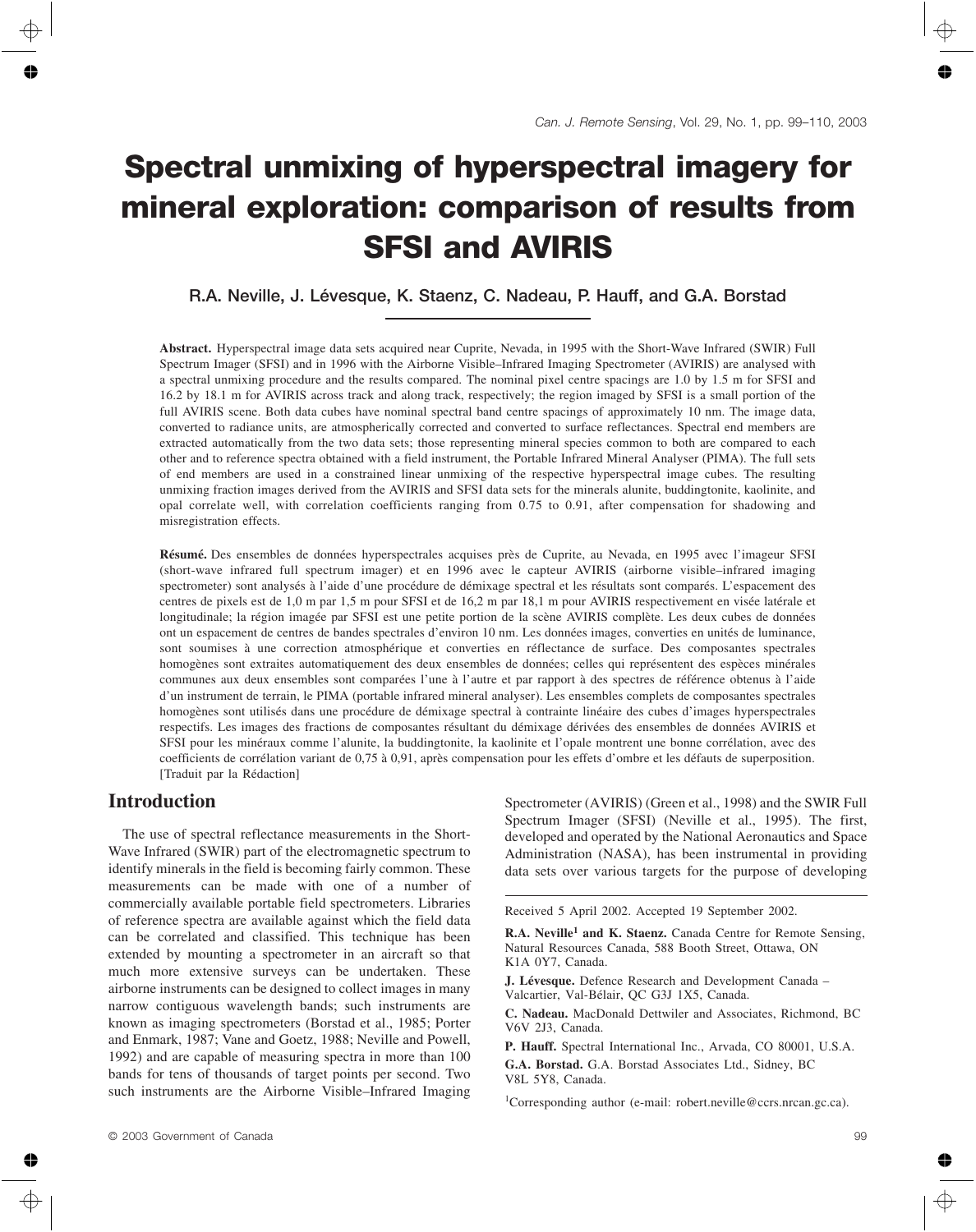# **Spectral unmixing of hyperspectral imagery for mineral exploration: comparison of results from SFSI and AVIRIS**

## **R.A. Neville, J. Lévesque, K. Staenz, C. Nadeau, P. Hauff, and G.A. Borstad**

**Abstract.** Hyperspectral image data sets acquired near Cuprite, Nevada, in 1995 with the Short-Wave Infrared (SWIR) Full Spectrum Imager (SFSI) and in 1996 with the Airborne Visible–Infrared Imaging Spectrometer (AVIRIS) are analysed with a spectral unmixing procedure and the results compared. The nominal pixel centre spacings are 1.0 by 1.5 m for SFSI and 16.2 by 18.1 m for AVIRIS across track and along track, respectively; the region imaged by SFSI is a small portion of the full AVIRIS scene. Both data cubes have nominal spectral band centre spacings of approximately 10 nm. The image data, converted to radiance units, are atmospherically corrected and converted to surface reflectances. Spectral end members are extracted automatically from the two data sets; those representing mineral species common to both are compared to each other and to reference spectra obtained with a field instrument, the Portable Infrared Mineral Analyser (PIMA). The full sets of end members are used in a constrained linear unmixing of the respective hyperspectral image cubes. The resulting unmixing fraction images derived from the AVIRIS and SFSI data sets for the minerals alunite, buddingtonite, kaolinite, and opal correlate well, with correlation coefficients ranging from 0.75 to 0.91, after compensation for shadowing and misregistration effects.

**Résumé.** Des ensembles de données hyperspectrales acquises près de Cuprite, au Nevada, en 1995 avec l'imageur SFSI (short-wave infrared full spectrum imager) et en 1996 avec le capteur AVIRIS (airborne visible–infrared imaging spectrometer) sont analysés à l'aide d'une procédure de démixage spectral et les résultats sont comparés. L'espacement des centres de pixels est de 1,0 m par 1,5 m pour SFSI et de 16,2 m par 18,1 m pour AVIRIS respectivement en visée latérale et longitudinale; la région imagée par SFSI est une petite portion de la scène AVIRIS complète. Les deux cubes de données ont un espacement de centres de bandes spectrales d'environ 10 nm. Les données images, converties en unités de luminance, sont soumises à une correction atmosphérique et converties en réflectance de surface. Des composantes spectrales homogènes sont extraites automatiquement des deux ensembles de données; celles qui représentent des espèces minérales communes aux deux ensembles sont comparées l'une à l'autre et par rapport à des spectres de référence obtenus à l'aide d'un instrument de terrain, le PIMA (portable infrared mineral analyser). Les ensembles complets de composantes spectrales homogènes sont utilisés dans une procédure de démixage spectral à contrainte linéaire des cubes d'images hyperspectrales respectifs. Les images des fractions de composantes résultant du démixage dérivées des ensembles de données AVIRIS et SFSI pour les minéraux comme l'alunite, la buddingtonite, la kaolinite et l'opale montrent une bonne corrélation, avec des coefficients de corrélation variant de 0,75 à 0,91, après compensation pour les effets d'ombre et les défauts de superposition. [Traduit par la Rédaction]

## **Introduction**

The use of spectral reflectance measurements in the Short-Wave Infrared (SWIR) part of the electromagnetic spectrum to identify minerals in the field is becoming fairly common. These measurements can be made with one of a number of commercially available portable field spectrometers. Libraries of reference spectra are available against which the field data can be correlated and classified. This technique has been extended by mounting a spectrometer in an aircraft so that much more extensive surveys can be undertaken. These airborne instruments can be designed to collect images in many narrow contiguous wavelength bands; such instruments are known as imaging spectrometers (Borstad et al., 1985; Porter and Enmark, 1987; Vane and Goetz, 1988; Neville and Powell, 1992) and are capable of measuring spectra in more than 100 bands for tens of thousands of target points per second. Two such instruments are the Airborne Visible–Infrared Imaging

Spectrometer (AVIRIS) (Green et al., 1998) and the SWIR Full Spectrum Imager (SFSI) (Neville et al., 1995). The first, developed and operated by the National Aeronautics and Space Administration (NASA), has been instrumental in providing data sets over various targets for the purpose of developing

Received 5 April 2002. Accepted 19 September 2002.

**R.A. Neville<sup>1</sup> and K. Staenz.** Canada Centre for Remote Sensing, Natural Resources Canada, 588 Booth Street, Ottawa, ON K1A 0Y7, Canada.

**J. Lévesque.** Defence Research and Development Canada – Valcartier, Val-Bélair, QC G3J 1X5, Canada.

**C. Nadeau.** MacDonald Dettwiler and Associates, Richmond, BC V6V 2J3, Canada.

**P. Hauff.** Spectral International Inc., Arvada, CO 80001, U.S.A.

**G.A. Borstad.** G.A. Borstad Associates Ltd., Sidney, BC V8L 5Y8, Canada.

1 Corresponding author (e-mail: robert.neville@ccrs.nrcan.gc.ca).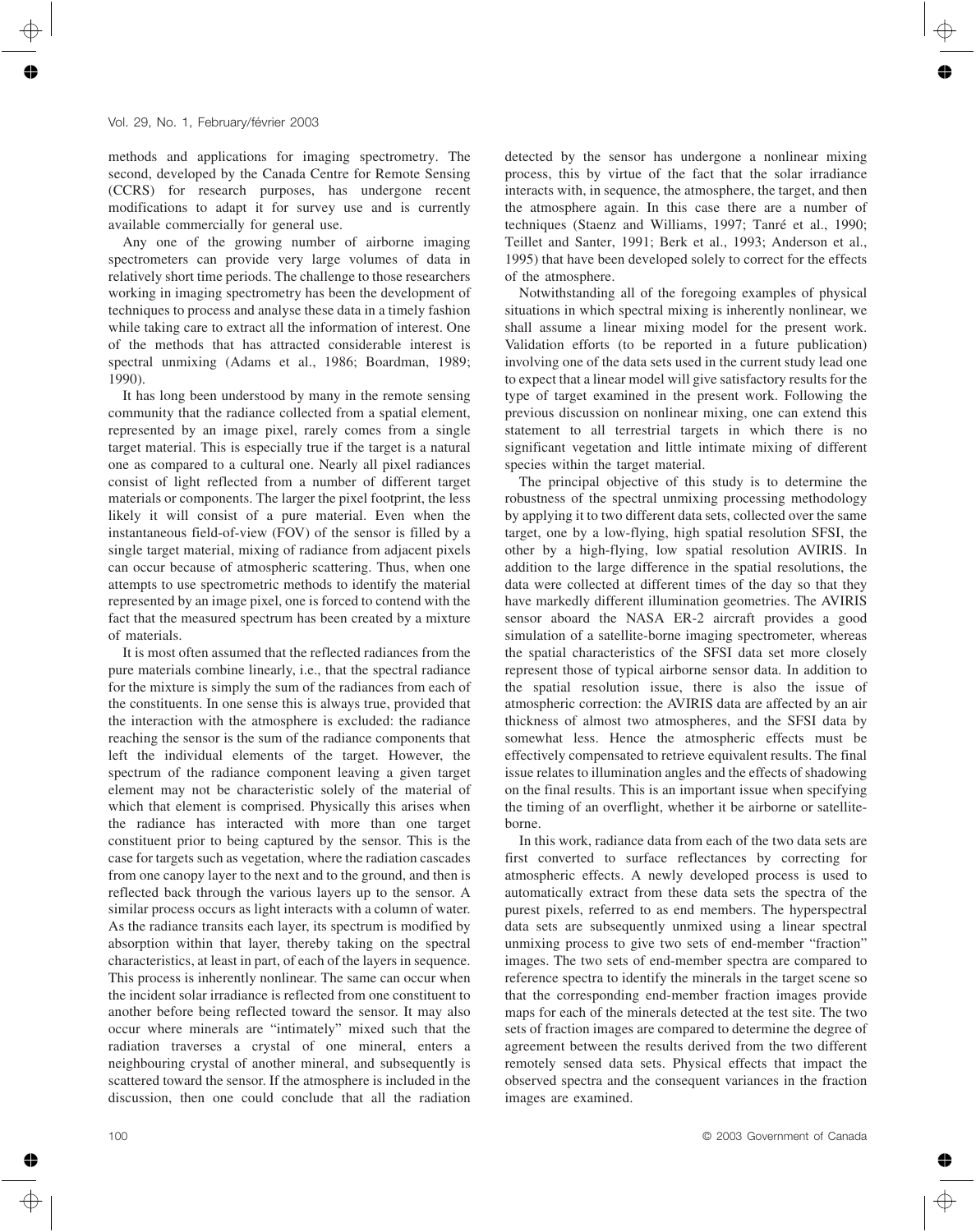methods and applications for imaging spectrometry. The second, developed by the Canada Centre for Remote Sensing (CCRS) for research purposes, has undergone recent modifications to adapt it for survey use and is currently available commercially for general use.

Any one of the growing number of airborne imaging spectrometers can provide very large volumes of data in relatively short time periods. The challenge to those researchers working in imaging spectrometry has been the development of techniques to process and analyse these data in a timely fashion while taking care to extract all the information of interest. One of the methods that has attracted considerable interest is spectral unmixing (Adams et al., 1986; Boardman, 1989; 1990).

It has long been understood by many in the remote sensing community that the radiance collected from a spatial element, represented by an image pixel, rarely comes from a single target material. This is especially true if the target is a natural one as compared to a cultural one. Nearly all pixel radiances consist of light reflected from a number of different target materials or components. The larger the pixel footprint, the less likely it will consist of a pure material. Even when the instantaneous field-of-view (FOV) of the sensor is filled by a single target material, mixing of radiance from adjacent pixels can occur because of atmospheric scattering. Thus, when one attempts to use spectrometric methods to identify the material represented by an image pixel, one is forced to contend with the fact that the measured spectrum has been created by a mixture of materials.

It is most often assumed that the reflected radiances from the pure materials combine linearly, i.e., that the spectral radiance for the mixture is simply the sum of the radiances from each of the constituents. In one sense this is always true, provided that the interaction with the atmosphere is excluded: the radiance reaching the sensor is the sum of the radiance components that left the individual elements of the target. However, the spectrum of the radiance component leaving a given target element may not be characteristic solely of the material of which that element is comprised. Physically this arises when the radiance has interacted with more than one target constituent prior to being captured by the sensor. This is the case for targets such as vegetation, where the radiation cascades from one canopy layer to the next and to the ground, and then is reflected back through the various layers up to the sensor. A similar process occurs as light interacts with a column of water. As the radiance transits each layer, its spectrum is modified by absorption within that layer, thereby taking on the spectral characteristics, at least in part, of each of the layers in sequence. This process is inherently nonlinear. The same can occur when the incident solar irradiance is reflected from one constituent to another before being reflected toward the sensor. It may also occur where minerals are "intimately" mixed such that the radiation traverses a crystal of one mineral, enters a neighbouring crystal of another mineral, and subsequently is scattered toward the sensor. If the atmosphere is included in the discussion, then one could conclude that all the radiation

detected by the sensor has undergone a nonlinear mixing process, this by virtue of the fact that the solar irradiance interacts with, in sequence, the atmosphere, the target, and then the atmosphere again. In this case there are a number of techniques (Staenz and Williams, 1997; Tanré et al., 1990; Teillet and Santer, 1991; Berk et al., 1993; Anderson et al., 1995) that have been developed solely to correct for the effects of the atmosphere.

Notwithstanding all of the foregoing examples of physical situations in which spectral mixing is inherently nonlinear, we shall assume a linear mixing model for the present work. Validation efforts (to be reported in a future publication) involving one of the data sets used in the current study lead one to expect that a linear model will give satisfactory results for the type of target examined in the present work. Following the previous discussion on nonlinear mixing, one can extend this statement to all terrestrial targets in which there is no significant vegetation and little intimate mixing of different species within the target material.

The principal objective of this study is to determine the robustness of the spectral unmixing processing methodology by applying it to two different data sets, collected over the same target, one by a low-flying, high spatial resolution SFSI, the other by a high-flying, low spatial resolution AVIRIS. In addition to the large difference in the spatial resolutions, the data were collected at different times of the day so that they have markedly different illumination geometries. The AVIRIS sensor aboard the NASA ER-2 aircraft provides a good simulation of a satellite-borne imaging spectrometer, whereas the spatial characteristics of the SFSI data set more closely represent those of typical airborne sensor data. In addition to the spatial resolution issue, there is also the issue of atmospheric correction: the AVIRIS data are affected by an air thickness of almost two atmospheres, and the SFSI data by somewhat less. Hence the atmospheric effects must be effectively compensated to retrieve equivalent results. The final issue relates to illumination angles and the effects of shadowing on the final results. This is an important issue when specifying the timing of an overflight, whether it be airborne or satelliteborne.

In this work, radiance data from each of the two data sets are first converted to surface reflectances by correcting for atmospheric effects. A newly developed process is used to automatically extract from these data sets the spectra of the purest pixels, referred to as end members. The hyperspectral data sets are subsequently unmixed using a linear spectral unmixing process to give two sets of end-member "fraction" images. The two sets of end-member spectra are compared to reference spectra to identify the minerals in the target scene so that the corresponding end-member fraction images provide maps for each of the minerals detected at the test site. The two sets of fraction images are compared to determine the degree of agreement between the results derived from the two different remotely sensed data sets. Physical effects that impact the observed spectra and the consequent variances in the fraction images are examined.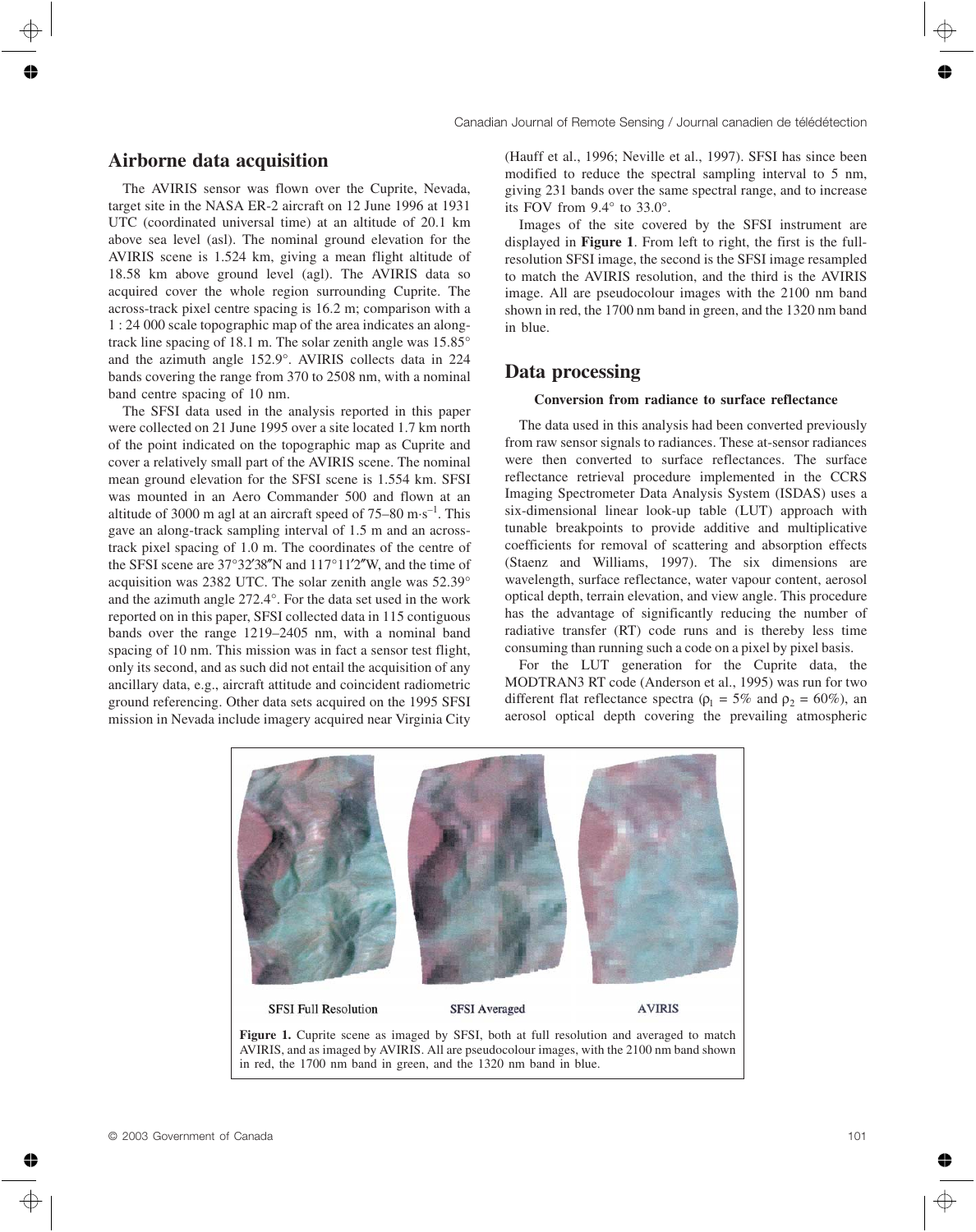## **Airborne data acquisition**

The AVIRIS sensor was flown over the Cuprite, Nevada, target site in the NASA ER-2 aircraft on 12 June 1996 at 1931 UTC (coordinated universal time) at an altitude of 20.1 km above sea level (asl). The nominal ground elevation for the AVIRIS scene is 1.524 km, giving a mean flight altitude of 18.58 km above ground level (agl). The AVIRIS data so acquired cover the whole region surrounding Cuprite. The across-track pixel centre spacing is 16.2 m; comparison with a 1 : 24 000 scale topographic map of the area indicates an alongtrack line spacing of 18.1 m. The solar zenith angle was 15.85° and the azimuth angle 152.9°. AVIRIS collects data in 224 bands covering the range from 370 to 2508 nm, with a nominal band centre spacing of 10 nm.

The SFSI data used in the analysis reported in this paper were collected on 21 June 1995 over a site located 1.7 km north of the point indicated on the topographic map as Cuprite and cover a relatively small part of the AVIRIS scene. The nominal mean ground elevation for the SFSI scene is 1.554 km. SFSI was mounted in an Aero Commander 500 and flown at an altitude of 3000 m agl at an aircraft speed of  $75-80$  m $\cdot$ s<sup>-1</sup>. This gave an along-track sampling interval of 1.5 m and an acrosstrack pixel spacing of 1.0 m. The coordinates of the centre of the SFSI scene are 37°32′38″N and 117°11′2″W, and the time of acquisition was 2382 UTC. The solar zenith angle was 52.39° and the azimuth angle 272.4°. For the data set used in the work reported on in this paper, SFSI collected data in 115 contiguous bands over the range 1219–2405 nm, with a nominal band spacing of 10 nm. This mission was in fact a sensor test flight, only its second, and as such did not entail the acquisition of any ancillary data, e.g., aircraft attitude and coincident radiometric ground referencing. Other data sets acquired on the 1995 SFSI mission in Nevada include imagery acquired near Virginia City

(Hauff et al., 1996; Neville et al., 1997). SFSI has since been modified to reduce the spectral sampling interval to 5 nm, giving 231 bands over the same spectral range, and to increase its FOV from 9.4° to 33.0°.

Images of the site covered by the SFSI instrument are displayed in **Figure 1**. From left to right, the first is the fullresolution SFSI image, the second is the SFSI image resampled to match the AVIRIS resolution, and the third is the AVIRIS image. All are pseudocolour images with the 2100 nm band shown in red, the 1700 nm band in green, and the 1320 nm band in blue.

## **Data processing**

#### **Conversion from radiance to surface reflectance**

The data used in this analysis had been converted previously from raw sensor signals to radiances. These at-sensor radiances were then converted to surface reflectances. The surface reflectance retrieval procedure implemented in the CCRS Imaging Spectrometer Data Analysis System (ISDAS) uses a six-dimensional linear look-up table (LUT) approach with tunable breakpoints to provide additive and multiplicative coefficients for removal of scattering and absorption effects (Staenz and Williams, 1997). The six dimensions are wavelength, surface reflectance, water vapour content, aerosol optical depth, terrain elevation, and view angle. This procedure has the advantage of significantly reducing the number of radiative transfer (RT) code runs and is thereby less time consuming than running such a code on a pixel by pixel basis.

For the LUT generation for the Cuprite data, the MODTRAN3 RT code (Anderson et al., 1995) was run for two different flat reflectance spectra ( $\rho_1 = 5\%$  and  $\rho_2 = 60\%$ ), an aerosol optical depth covering the prevailing atmospheric



AVIRIS, and as imaged by AVIRIS. All are pseudocolour images, with the 2100 nm band shown in red, the 1700 nm band in green, and the 1320 nm band in blue.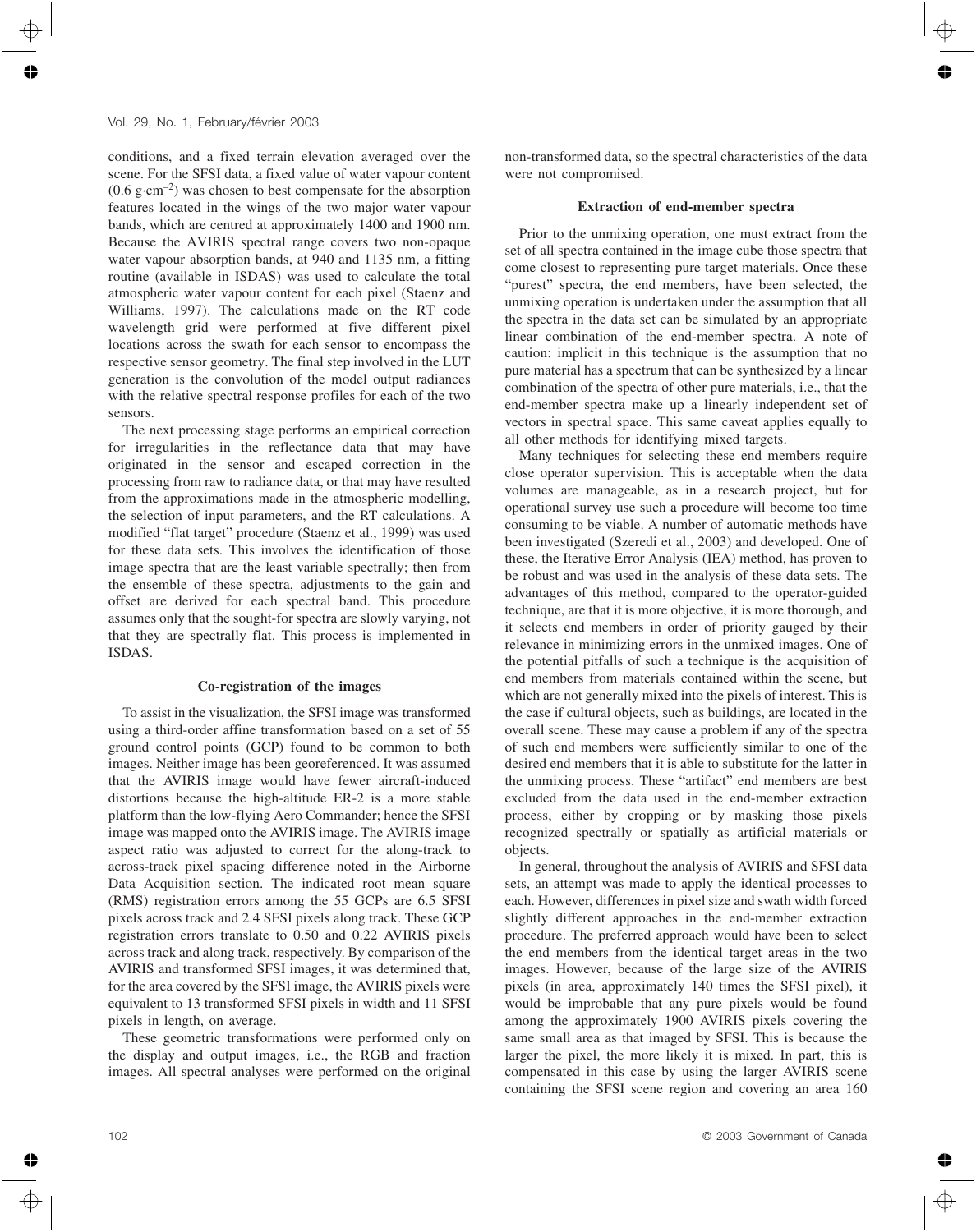conditions, and a fixed terrain elevation averaged over the scene. For the SFSI data, a fixed value of water vapour content  $(0.6 \text{ g} \cdot \text{cm}^{-2})$  was chosen to best compensate for the absorption features located in the wings of the two major water vapour bands, which are centred at approximately 1400 and 1900 nm. Because the AVIRIS spectral range covers two non-opaque water vapour absorption bands, at 940 and 1135 nm, a fitting routine (available in ISDAS) was used to calculate the total atmospheric water vapour content for each pixel (Staenz and Williams, 1997). The calculations made on the RT code wavelength grid were performed at five different pixel locations across the swath for each sensor to encompass the respective sensor geometry. The final step involved in the LUT generation is the convolution of the model output radiances with the relative spectral response profiles for each of the two sensors.

The next processing stage performs an empirical correction for irregularities in the reflectance data that may have originated in the sensor and escaped correction in the processing from raw to radiance data, or that may have resulted from the approximations made in the atmospheric modelling, the selection of input parameters, and the RT calculations. A modified "flat target" procedure (Staenz et al., 1999) was used for these data sets. This involves the identification of those image spectra that are the least variable spectrally; then from the ensemble of these spectra, adjustments to the gain and offset are derived for each spectral band. This procedure assumes only that the sought-for spectra are slowly varying, not that they are spectrally flat. This process is implemented in ISDAS.

#### **Co-registration of the images**

To assist in the visualization, the SFSI image was transformed using a third-order affine transformation based on a set of 55 ground control points (GCP) found to be common to both images. Neither image has been georeferenced. It was assumed that the AVIRIS image would have fewer aircraft-induced distortions because the high-altitude ER-2 is a more stable platform than the low-flying Aero Commander; hence the SFSI image was mapped onto the AVIRIS image. The AVIRIS image aspect ratio was adjusted to correct for the along-track to across-track pixel spacing difference noted in the Airborne Data Acquisition section. The indicated root mean square (RMS) registration errors among the 55 GCPs are 6.5 SFSI pixels across track and 2.4 SFSI pixels along track. These GCP registration errors translate to 0.50 and 0.22 AVIRIS pixels across track and along track, respectively. By comparison of the AVIRIS and transformed SFSI images, it was determined that, for the area covered by the SFSI image, the AVIRIS pixels were equivalent to 13 transformed SFSI pixels in width and 11 SFSI pixels in length, on average.

These geometric transformations were performed only on the display and output images, i.e., the RGB and fraction images. All spectral analyses were performed on the original non-transformed data, so the spectral characteristics of the data were not compromised.

#### **Extraction of end-member spectra**

Prior to the unmixing operation, one must extract from the set of all spectra contained in the image cube those spectra that come closest to representing pure target materials. Once these "purest" spectra, the end members, have been selected, the unmixing operation is undertaken under the assumption that all the spectra in the data set can be simulated by an appropriate linear combination of the end-member spectra. A note of caution: implicit in this technique is the assumption that no pure material has a spectrum that can be synthesized by a linear combination of the spectra of other pure materials, i.e., that the end-member spectra make up a linearly independent set of vectors in spectral space. This same caveat applies equally to all other methods for identifying mixed targets.

Many techniques for selecting these end members require close operator supervision. This is acceptable when the data volumes are manageable, as in a research project, but for operational survey use such a procedure will become too time consuming to be viable. A number of automatic methods have been investigated (Szeredi et al., 2003) and developed. One of these, the Iterative Error Analysis (IEA) method, has proven to be robust and was used in the analysis of these data sets. The advantages of this method, compared to the operator-guided technique, are that it is more objective, it is more thorough, and it selects end members in order of priority gauged by their relevance in minimizing errors in the unmixed images. One of the potential pitfalls of such a technique is the acquisition of end members from materials contained within the scene, but which are not generally mixed into the pixels of interest. This is the case if cultural objects, such as buildings, are located in the overall scene. These may cause a problem if any of the spectra of such end members were sufficiently similar to one of the desired end members that it is able to substitute for the latter in the unmixing process. These "artifact" end members are best excluded from the data used in the end-member extraction process, either by cropping or by masking those pixels recognized spectrally or spatially as artificial materials or objects.

In general, throughout the analysis of AVIRIS and SFSI data sets, an attempt was made to apply the identical processes to each. However, differences in pixel size and swath width forced slightly different approaches in the end-member extraction procedure. The preferred approach would have been to select the end members from the identical target areas in the two images. However, because of the large size of the AVIRIS pixels (in area, approximately 140 times the SFSI pixel), it would be improbable that any pure pixels would be found among the approximately 1900 AVIRIS pixels covering the same small area as that imaged by SFSI. This is because the larger the pixel, the more likely it is mixed. In part, this is compensated in this case by using the larger AVIRIS scene containing the SFSI scene region and covering an area 160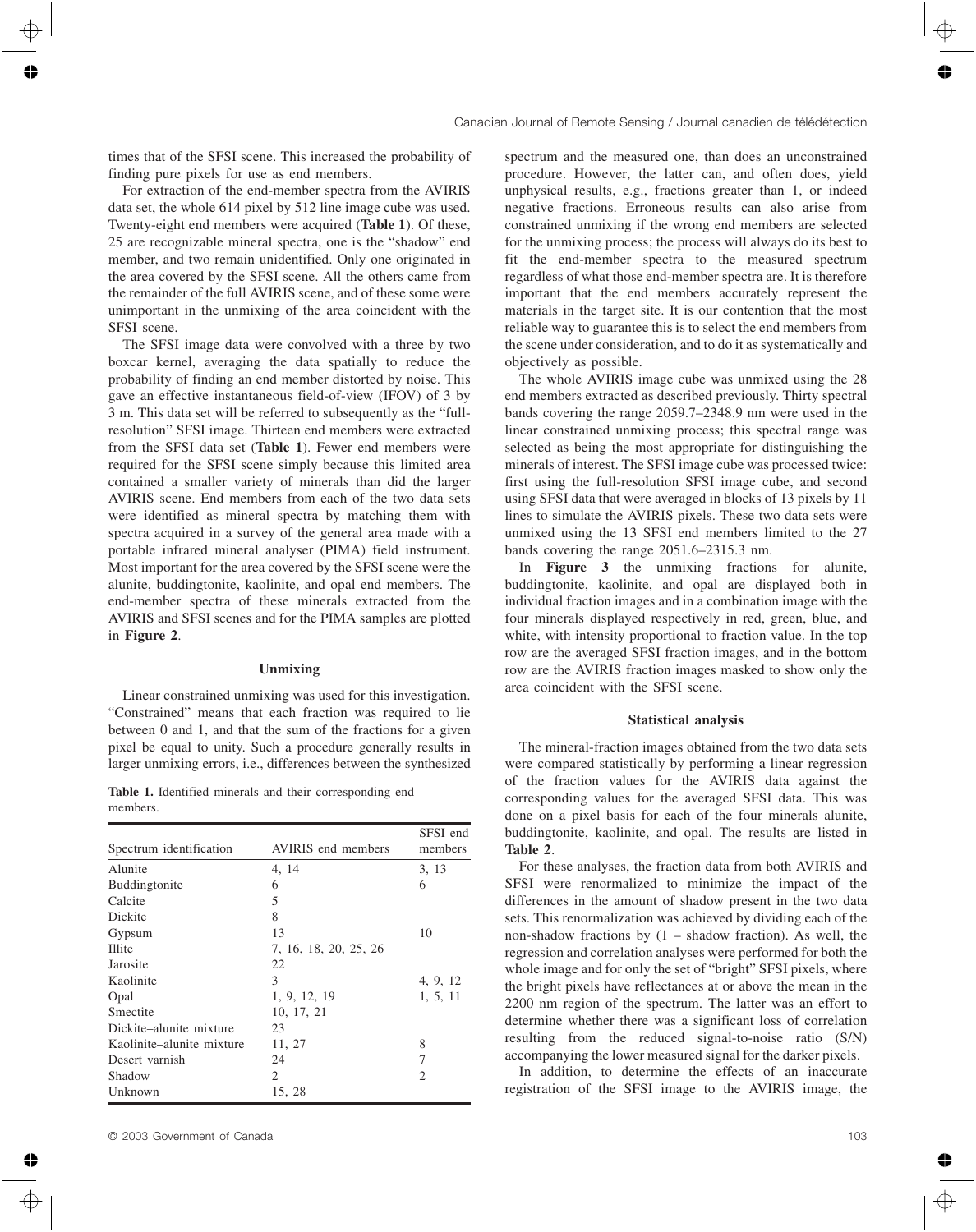times that of the SFSI scene. This increased the probability of finding pure pixels for use as end members.

For extraction of the end-member spectra from the AVIRIS data set, the whole 614 pixel by 512 line image cube was used. Twenty-eight end members were acquired (**Table 1**). Of these, 25 are recognizable mineral spectra, one is the "shadow" end member, and two remain unidentified. Only one originated in the area covered by the SFSI scene. All the others came from the remainder of the full AVIRIS scene, and of these some were unimportant in the unmixing of the area coincident with the SFSI scene.

The SFSI image data were convolved with a three by two boxcar kernel, averaging the data spatially to reduce the probability of finding an end member distorted by noise. This gave an effective instantaneous field-of-view (IFOV) of 3 by 3 m. This data set will be referred to subsequently as the "fullresolution" SFSI image. Thirteen end members were extracted from the SFSI data set (**Table 1**). Fewer end members were required for the SFSI scene simply because this limited area contained a smaller variety of minerals than did the larger AVIRIS scene. End members from each of the two data sets were identified as mineral spectra by matching them with spectra acquired in a survey of the general area made with a portable infrared mineral analyser (PIMA) field instrument. Most important for the area covered by the SFSI scene were the alunite, buddingtonite, kaolinite, and opal end members. The end-member spectra of these minerals extracted from the AVIRIS and SFSI scenes and for the PIMA samples are plotted in **Figure 2**.

#### **Unmixing**

Linear constrained unmixing was used for this investigation. "Constrained" means that each fraction was required to lie between 0 and 1, and that the sum of the fractions for a given pixel be equal to unity. Such a procedure generally results in larger unmixing errors, i.e., differences between the synthesized

**Table 1.** Identified minerals and their corresponding end members.

|                           |                       | SFSI end |
|---------------------------|-----------------------|----------|
| Spectrum identification   | AVIRIS end members    | members  |
| Alunite                   | 4, 14                 | 3, 13    |
| Buddingtonite             | 6                     | 6        |
| Calcite                   | 5                     |          |
| Dickite                   | 8                     |          |
| Gypsum                    | 13                    | 10       |
| <b>Illite</b>             | 7, 16, 18, 20, 25, 26 |          |
| Jarosite                  | 22                    |          |
| Kaolinite                 | 3                     | 4, 9, 12 |
| Opal                      | 1, 9, 12, 19          | 1, 5, 11 |
| Smectite                  | 10, 17, 21            |          |
| Dickite-alunite mixture   | 23                    |          |
| Kaolinite–alunite mixture | 11, 27                | 8        |
| Desert varnish            | 24                    | 7        |
| Shadow                    | $\mathfrak{D}$        | 2        |
| Unknown                   | 15, 28                |          |

spectrum and the measured one, than does an unconstrained procedure. However, the latter can, and often does, yield unphysical results, e.g., fractions greater than 1, or indeed negative fractions. Erroneous results can also arise from constrained unmixing if the wrong end members are selected for the unmixing process; the process will always do its best to fit the end-member spectra to the measured spectrum regardless of what those end-member spectra are. It is therefore important that the end members accurately represent the materials in the target site. It is our contention that the most reliable way to guarantee this is to select the end members from the scene under consideration, and to do it as systematically and objectively as possible.

The whole AVIRIS image cube was unmixed using the 28 end members extracted as described previously. Thirty spectral bands covering the range 2059.7–2348.9 nm were used in the linear constrained unmixing process; this spectral range was selected as being the most appropriate for distinguishing the minerals of interest. The SFSI image cube was processed twice: first using the full-resolution SFSI image cube, and second using SFSI data that were averaged in blocks of 13 pixels by 11 lines to simulate the AVIRIS pixels. These two data sets were unmixed using the 13 SFSI end members limited to the 27 bands covering the range 2051.6–2315.3 nm.

In **Figure 3** the unmixing fractions for alunite, buddingtonite, kaolinite, and opal are displayed both in individual fraction images and in a combination image with the four minerals displayed respectively in red, green, blue, and white, with intensity proportional to fraction value. In the top row are the averaged SFSI fraction images, and in the bottom row are the AVIRIS fraction images masked to show only the area coincident with the SFSI scene.

#### **Statistical analysis**

The mineral-fraction images obtained from the two data sets were compared statistically by performing a linear regression of the fraction values for the AVIRIS data against the corresponding values for the averaged SFSI data. This was done on a pixel basis for each of the four minerals alunite, buddingtonite, kaolinite, and opal. The results are listed in **Table 2**.

For these analyses, the fraction data from both AVIRIS and SFSI were renormalized to minimize the impact of the differences in the amount of shadow present in the two data sets. This renormalization was achieved by dividing each of the non-shadow fractions by  $(1 - \text{shadow fraction})$ . As well, the regression and correlation analyses were performed for both the whole image and for only the set of "bright" SFSI pixels, where the bright pixels have reflectances at or above the mean in the 2200 nm region of the spectrum. The latter was an effort to determine whether there was a significant loss of correlation resulting from the reduced signal-to-noise ratio (S/N) accompanying the lower measured signal for the darker pixels.

In addition, to determine the effects of an inaccurate registration of the SFSI image to the AVIRIS image, the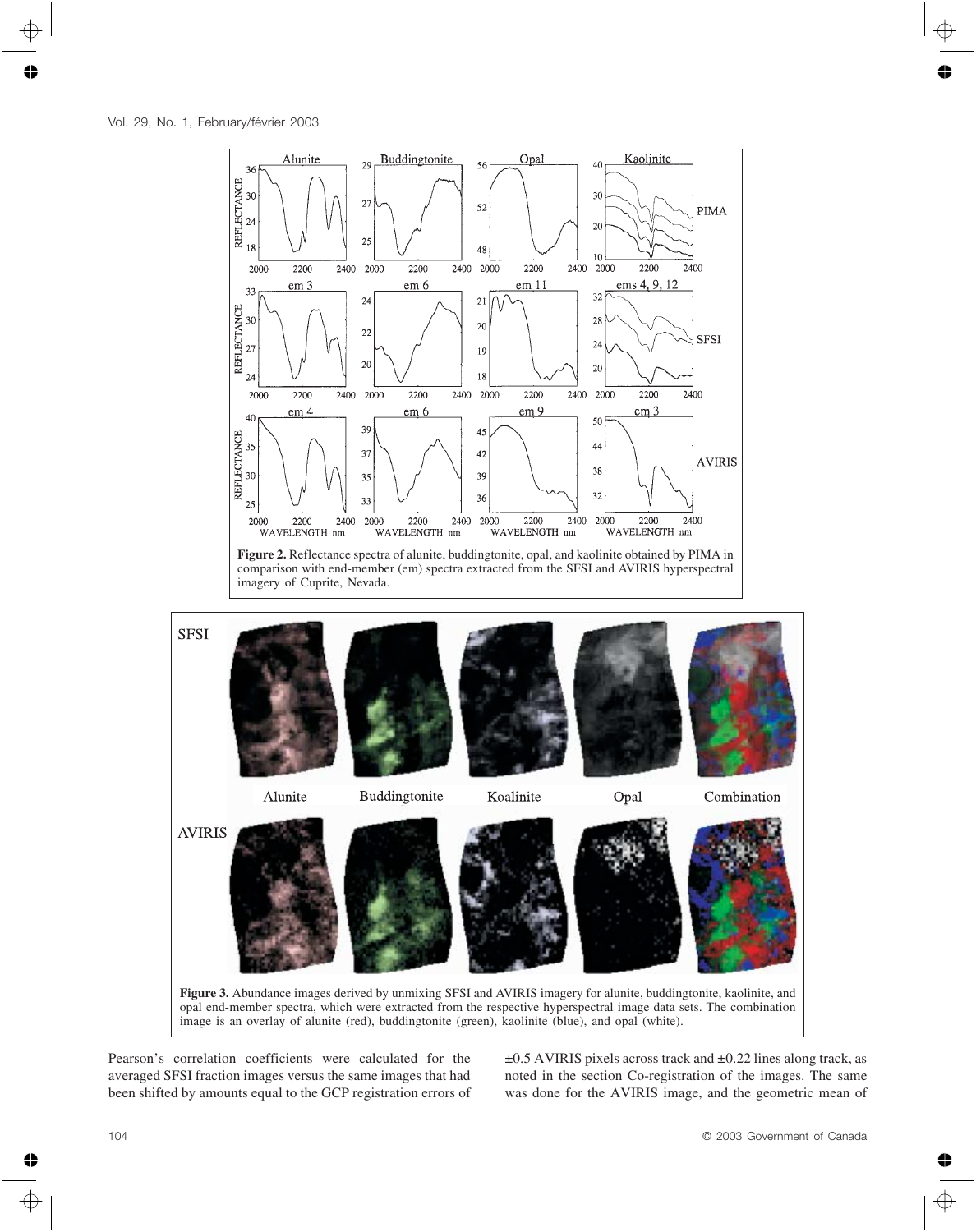

Pearson's correlation coefficients were calculated for the averaged SFSI fraction images versus the same images that had been shifted by amounts equal to the GCP registration errors of  $\pm 0.5$  AVIRIS pixels across track and  $\pm 0.22$  lines along track, as noted in the section Co-registration of the images. The same was done for the AVIRIS image, and the geometric mean of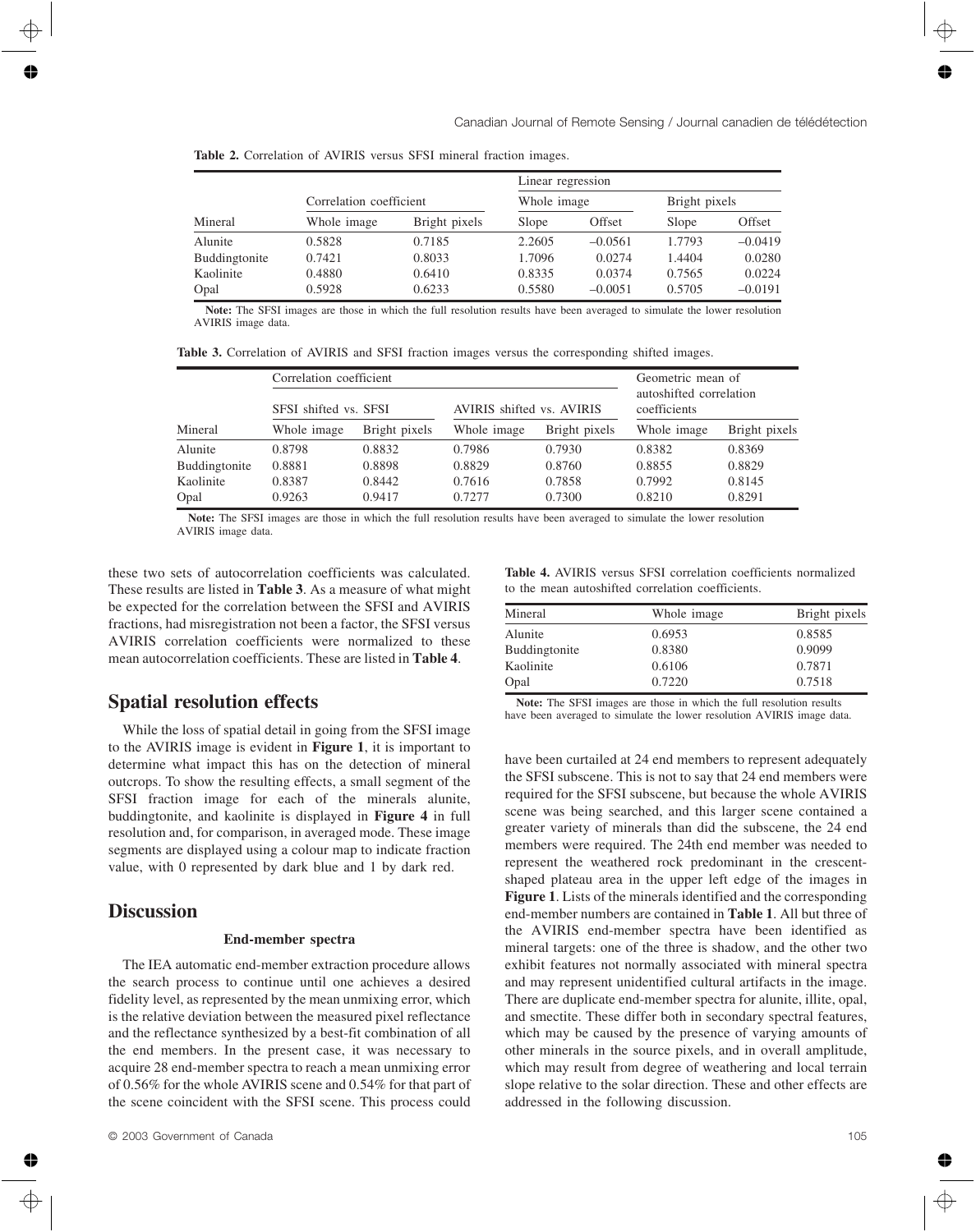|               |             |                         | Linear regression |             |        |               |  |
|---------------|-------------|-------------------------|-------------------|-------------|--------|---------------|--|
|               |             | Correlation coefficient |                   | Whole image |        | Bright pixels |  |
| Mineral       | Whole image | Bright pixels           | Slope             | Offset      | Slope  | Offset        |  |
| Alunite       | 0.5828      | 0.7185                  | 2.2605            | $-0.0561$   | 1.7793 | $-0.0419$     |  |
| Buddingtonite | 0.7421      | 0.8033                  | 1.7096            | 0.0274      | 1.4404 | 0.0280        |  |
| Kaolinite     | 0.4880      | 0.6410                  | 0.8335            | 0.0374      | 0.7565 | 0.0224        |  |
| Opal          | 0.5928      | 0.6233                  | 0.5580            | $-0.0051$   | 0.5705 | $-0.0191$     |  |

**Table 2.** Correlation of AVIRIS versus SFSI mineral fraction images.

**Note:** The SFSI images are those in which the full resolution results have been averaged to simulate the lower resolution AVIRIS image data.

**Table 3.** Correlation of AVIRIS and SFSI fraction images versus the corresponding shifted images.

|               | Correlation coefficient |               |                           |               | Geometric mean of                       |               |
|---------------|-------------------------|---------------|---------------------------|---------------|-----------------------------------------|---------------|
|               | SFSI shifted vs. SFSI   |               | AVIRIS shifted vs. AVIRIS |               | autoshifted correlation<br>coefficients |               |
| Mineral       | Whole image             | Bright pixels | Whole image               | Bright pixels | Whole image                             | Bright pixels |
| Alunite       | 0.8798                  | 0.8832        | 0.7986                    | 0.7930        | 0.8382                                  | 0.8369        |
| Buddingtonite | 0.8881                  | 0.8898        | 0.8829                    | 0.8760        | 0.8855                                  | 0.8829        |
| Kaolinite     | 0.8387                  | 0.8442        | 0.7616                    | 0.7858        | 0.7992                                  | 0.8145        |
| Opal          | 0.9263                  | 0.9417        | 0.7277                    | 0.7300        | 0.8210                                  | 0.8291        |

**Note:** The SFSI images are those in which the full resolution results have been averaged to simulate the lower resolution AVIRIS image data.

these two sets of autocorrelation coefficients was calculated. These results are listed in **Table 3**. As a measure of what might be expected for the correlation between the SFSI and AVIRIS fractions, had misregistration not been a factor, the SFSI versus AVIRIS correlation coefficients were normalized to these mean autocorrelation coefficients. These are listed in **Table 4**.

## **Spatial resolution effects**

While the loss of spatial detail in going from the SFSI image to the AVIRIS image is evident in **Figure 1**, it is important to determine what impact this has on the detection of mineral outcrops. To show the resulting effects, a small segment of the SFSI fraction image for each of the minerals alunite, buddingtonite, and kaolinite is displayed in **Figure 4** in full resolution and, for comparison, in averaged mode. These image segments are displayed using a colour map to indicate fraction value, with 0 represented by dark blue and 1 by dark red.

### **Discussion**

#### **End-member spectra**

The IEA automatic end-member extraction procedure allows the search process to continue until one achieves a desired fidelity level, as represented by the mean unmixing error, which is the relative deviation between the measured pixel reflectance and the reflectance synthesized by a best-fit combination of all the end members. In the present case, it was necessary to acquire 28 end-member spectra to reach a mean unmixing error of 0.56% for the whole AVIRIS scene and 0.54% for that part of the scene coincident with the SFSI scene. This process could

**Table 4.** AVIRIS versus SFSI correlation coefficients normalized to the mean autoshifted correlation coefficients.

| Mineral       | Whole image | Bright pixels |  |  |
|---------------|-------------|---------------|--|--|
| Alunite       | 0.6953      | 0.8585        |  |  |
| Buddingtonite | 0.8380      | 0.9099        |  |  |
| Kaolinite     | 0.6106      | 0.7871        |  |  |
| Opal          | 0.7220      | 0.7518        |  |  |

**Note:** The SFSI images are those in which the full resolution results have been averaged to simulate the lower resolution AVIRIS image data.

have been curtailed at 24 end members to represent adequately the SFSI subscene. This is not to say that 24 end members were required for the SFSI subscene, but because the whole AVIRIS scene was being searched, and this larger scene contained a greater variety of minerals than did the subscene, the 24 end members were required. The 24th end member was needed to represent the weathered rock predominant in the crescentshaped plateau area in the upper left edge of the images in **Figure 1**. Lists of the minerals identified and the corresponding end-member numbers are contained in **Table 1**. All but three of the AVIRIS end-member spectra have been identified as mineral targets: one of the three is shadow, and the other two exhibit features not normally associated with mineral spectra and may represent unidentified cultural artifacts in the image. There are duplicate end-member spectra for alunite, illite, opal, and smectite. These differ both in secondary spectral features, which may be caused by the presence of varying amounts of other minerals in the source pixels, and in overall amplitude, which may result from degree of weathering and local terrain slope relative to the solar direction. These and other effects are addressed in the following discussion.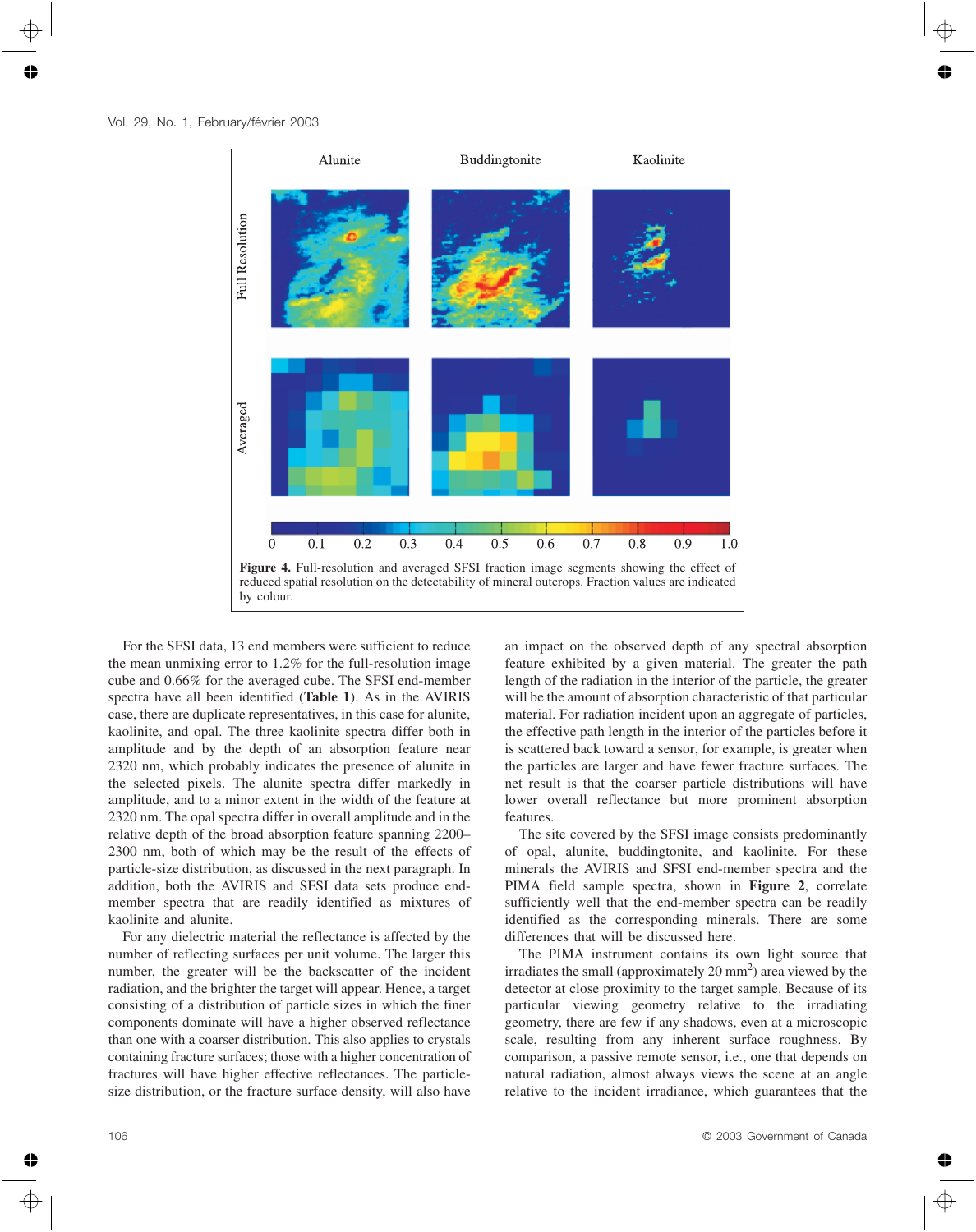

For the SFSI data, 13 end members were sufficient to reduce the mean unmixing error to 1.2% for the full-resolution image cube and 0.66% for the averaged cube. The SFSI end-member spectra have all been identified (**Table 1**). As in the AVIRIS case, there are duplicate representatives, in this case for alunite, kaolinite, and opal. The three kaolinite spectra differ both in amplitude and by the depth of an absorption feature near 2320 nm, which probably indicates the presence of alunite in the selected pixels. The alunite spectra differ markedly in amplitude, and to a minor extent in the width of the feature at 2320 nm. The opal spectra differ in overall amplitude and in the relative depth of the broad absorption feature spanning 2200– 2300 nm, both of which may be the result of the effects of particle-size distribution, as discussed in the next paragraph. In addition, both the AVIRIS and SFSI data sets produce endmember spectra that are readily identified as mixtures of kaolinite and alunite.

For any dielectric material the reflectance is affected by the number of reflecting surfaces per unit volume. The larger this number, the greater will be the backscatter of the incident radiation, and the brighter the target will appear. Hence, a target consisting of a distribution of particle sizes in which the finer components dominate will have a higher observed reflectance than one with a coarser distribution. This also applies to crystals containing fracture surfaces; those with a higher concentration of fractures will have higher effective reflectances. The particlesize distribution, or the fracture surface density, will also have

an impact on the observed depth of any spectral absorption feature exhibited by a given material. The greater the path length of the radiation in the interior of the particle, the greater will be the amount of absorption characteristic of that particular material. For radiation incident upon an aggregate of particles, the effective path length in the interior of the particles before it is scattered back toward a sensor, for example, is greater when the particles are larger and have fewer fracture surfaces. The net result is that the coarser particle distributions will have lower overall reflectance but more prominent absorption features.

The site covered by the SFSI image consists predominantly of opal, alunite, buddingtonite, and kaolinite. For these minerals the AVIRIS and SFSI end-member spectra and the PIMA field sample spectra, shown in **Figure 2**, correlate sufficiently well that the end-member spectra can be readily identified as the corresponding minerals. There are some differences that will be discussed here.

The PIMA instrument contains its own light source that irradiates the small (approximately  $20 \text{ mm}^2$ ) area viewed by the detector at close proximity to the target sample. Because of its particular viewing geometry relative to the irradiating geometry, there are few if any shadows, even at a microscopic scale, resulting from any inherent surface roughness. By comparison, a passive remote sensor, i.e., one that depends on natural radiation, almost always views the scene at an angle relative to the incident irradiance, which guarantees that the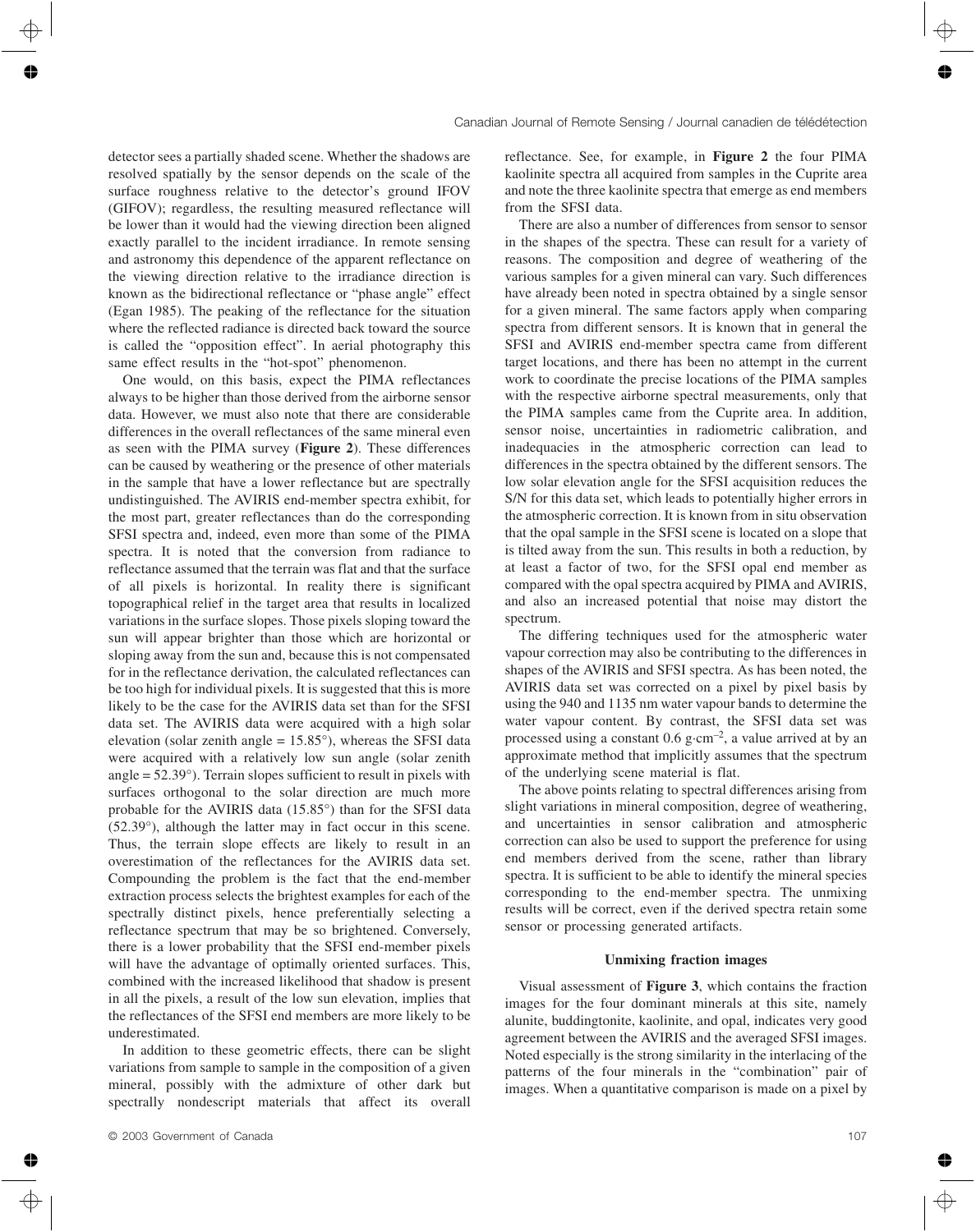detector sees a partially shaded scene. Whether the shadows are resolved spatially by the sensor depends on the scale of the surface roughness relative to the detector's ground IFOV (GIFOV); regardless, the resulting measured reflectance will be lower than it would had the viewing direction been aligned exactly parallel to the incident irradiance. In remote sensing and astronomy this dependence of the apparent reflectance on the viewing direction relative to the irradiance direction is known as the bidirectional reflectance or "phase angle" effect (Egan 1985). The peaking of the reflectance for the situation where the reflected radiance is directed back toward the source is called the "opposition effect". In aerial photography this same effect results in the "hot-spot" phenomenon.

One would, on this basis, expect the PIMA reflectances always to be higher than those derived from the airborne sensor data. However, we must also note that there are considerable differences in the overall reflectances of the same mineral even as seen with the PIMA survey (**Figure 2**). These differences can be caused by weathering or the presence of other materials in the sample that have a lower reflectance but are spectrally undistinguished. The AVIRIS end-member spectra exhibit, for the most part, greater reflectances than do the corresponding SFSI spectra and, indeed, even more than some of the PIMA spectra. It is noted that the conversion from radiance to reflectance assumed that the terrain was flat and that the surface of all pixels is horizontal. In reality there is significant topographical relief in the target area that results in localized variations in the surface slopes. Those pixels sloping toward the sun will appear brighter than those which are horizontal or sloping away from the sun and, because this is not compensated for in the reflectance derivation, the calculated reflectances can be too high for individual pixels. It is suggested that this is more likely to be the case for the AVIRIS data set than for the SFSI data set. The AVIRIS data were acquired with a high solar elevation (solar zenith angle =  $15.85^{\circ}$ ), whereas the SFSI data were acquired with a relatively low sun angle (solar zenith angle  $= 52.39^{\circ}$ ). Terrain slopes sufficient to result in pixels with surfaces orthogonal to the solar direction are much more probable for the AVIRIS data (15.85°) than for the SFSI data (52.39°), although the latter may in fact occur in this scene. Thus, the terrain slope effects are likely to result in an overestimation of the reflectances for the AVIRIS data set. Compounding the problem is the fact that the end-member extraction process selects the brightest examples for each of the spectrally distinct pixels, hence preferentially selecting a reflectance spectrum that may be so brightened. Conversely, there is a lower probability that the SFSI end-member pixels will have the advantage of optimally oriented surfaces. This, combined with the increased likelihood that shadow is present in all the pixels, a result of the low sun elevation, implies that the reflectances of the SFSI end members are more likely to be underestimated.

In addition to these geometric effects, there can be slight variations from sample to sample in the composition of a given mineral, possibly with the admixture of other dark but spectrally nondescript materials that affect its overall

reflectance. See, for example, in **Figure 2** the four PIMA kaolinite spectra all acquired from samples in the Cuprite area and note the three kaolinite spectra that emerge as end members from the SFSI data.

There are also a number of differences from sensor to sensor in the shapes of the spectra. These can result for a variety of reasons. The composition and degree of weathering of the various samples for a given mineral can vary. Such differences have already been noted in spectra obtained by a single sensor for a given mineral. The same factors apply when comparing spectra from different sensors. It is known that in general the SFSI and AVIRIS end-member spectra came from different target locations, and there has been no attempt in the current work to coordinate the precise locations of the PIMA samples with the respective airborne spectral measurements, only that the PIMA samples came from the Cuprite area. In addition, sensor noise, uncertainties in radiometric calibration, and inadequacies in the atmospheric correction can lead to differences in the spectra obtained by the different sensors. The low solar elevation angle for the SFSI acquisition reduces the S/N for this data set, which leads to potentially higher errors in the atmospheric correction. It is known from in situ observation that the opal sample in the SFSI scene is located on a slope that is tilted away from the sun. This results in both a reduction, by at least a factor of two, for the SFSI opal end member as compared with the opal spectra acquired by PIMA and AVIRIS, and also an increased potential that noise may distort the spectrum.

The differing techniques used for the atmospheric water vapour correction may also be contributing to the differences in shapes of the AVIRIS and SFSI spectra. As has been noted, the AVIRIS data set was corrected on a pixel by pixel basis by using the 940 and 1135 nm water vapour bands to determine the water vapour content. By contrast, the SFSI data set was processed using a constant  $0.6$  g·cm<sup>-2</sup>, a value arrived at by an approximate method that implicitly assumes that the spectrum of the underlying scene material is flat.

The above points relating to spectral differences arising from slight variations in mineral composition, degree of weathering, and uncertainties in sensor calibration and atmospheric correction can also be used to support the preference for using end members derived from the scene, rather than library spectra. It is sufficient to be able to identify the mineral species corresponding to the end-member spectra. The unmixing results will be correct, even if the derived spectra retain some sensor or processing generated artifacts.

#### **Unmixing fraction images**

Visual assessment of **Figure 3**, which contains the fraction images for the four dominant minerals at this site, namely alunite, buddingtonite, kaolinite, and opal, indicates very good agreement between the AVIRIS and the averaged SFSI images. Noted especially is the strong similarity in the interlacing of the patterns of the four minerals in the "combination" pair of images. When a quantitative comparison is made on a pixel by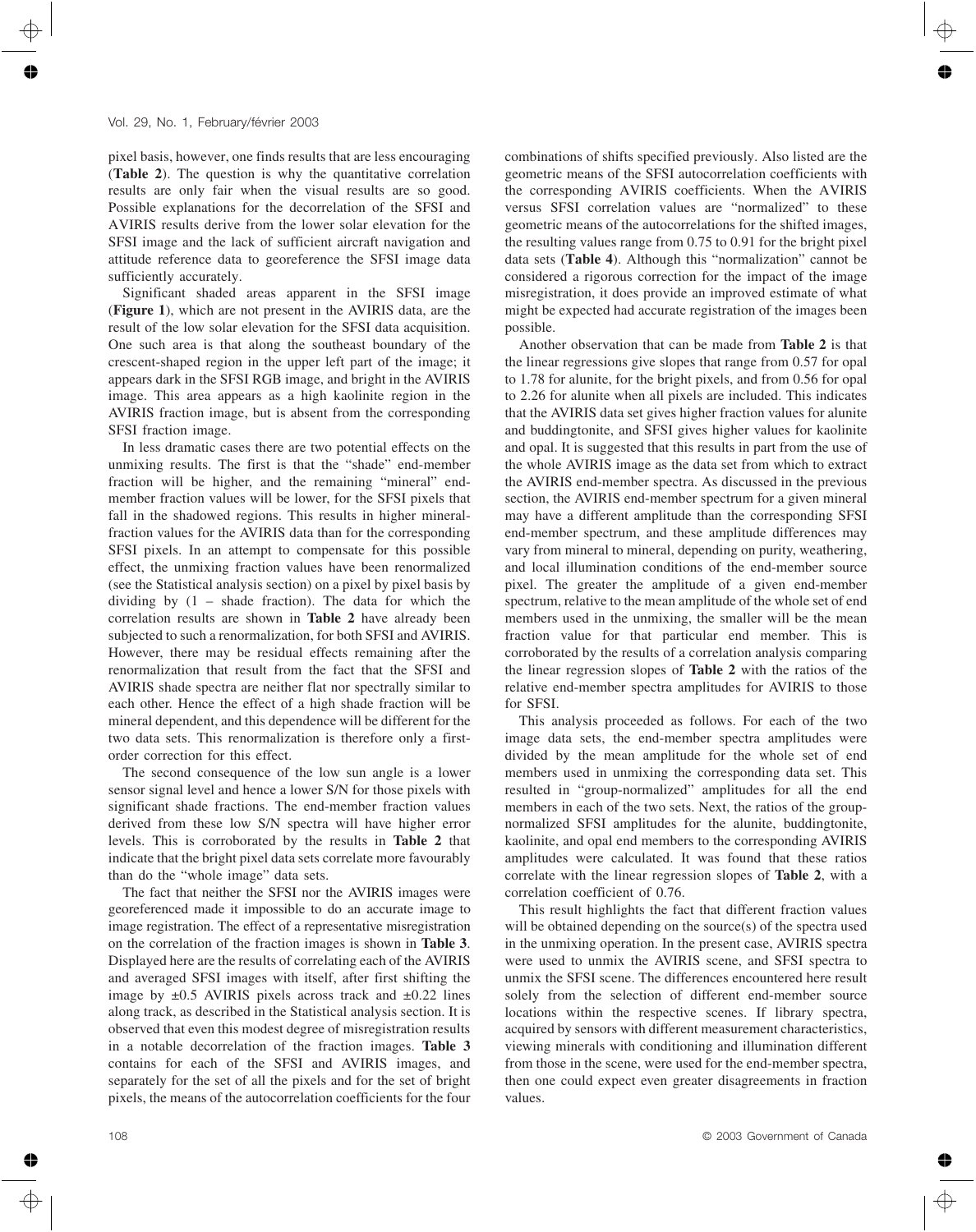pixel basis, however, one finds results that are less encouraging (**Table 2**). The question is why the quantitative correlation results are only fair when the visual results are so good. Possible explanations for the decorrelation of the SFSI and AVIRIS results derive from the lower solar elevation for the SFSI image and the lack of sufficient aircraft navigation and attitude reference data to georeference the SFSI image data sufficiently accurately.

Significant shaded areas apparent in the SFSI image (**Figure 1**), which are not present in the AVIRIS data, are the result of the low solar elevation for the SFSI data acquisition. One such area is that along the southeast boundary of the crescent-shaped region in the upper left part of the image; it appears dark in the SFSI RGB image, and bright in the AVIRIS image. This area appears as a high kaolinite region in the AVIRIS fraction image, but is absent from the corresponding SFSI fraction image.

In less dramatic cases there are two potential effects on the unmixing results. The first is that the "shade" end-member fraction will be higher, and the remaining "mineral" endmember fraction values will be lower, for the SFSI pixels that fall in the shadowed regions. This results in higher mineralfraction values for the AVIRIS data than for the corresponding SFSI pixels. In an attempt to compensate for this possible effect, the unmixing fraction values have been renormalized (see the Statistical analysis section) on a pixel by pixel basis by dividing by  $(1 - \text{shade fraction})$ . The data for which the correlation results are shown in **Table 2** have already been subjected to such a renormalization, for both SFSI and AVIRIS. However, there may be residual effects remaining after the renormalization that result from the fact that the SFSI and AVIRIS shade spectra are neither flat nor spectrally similar to each other. Hence the effect of a high shade fraction will be mineral dependent, and this dependence will be different for the two data sets. This renormalization is therefore only a firstorder correction for this effect.

The second consequence of the low sun angle is a lower sensor signal level and hence a lower S/N for those pixels with significant shade fractions. The end-member fraction values derived from these low S/N spectra will have higher error levels. This is corroborated by the results in **Table 2** that indicate that the bright pixel data sets correlate more favourably than do the "whole image" data sets.

The fact that neither the SFSI nor the AVIRIS images were georeferenced made it impossible to do an accurate image to image registration. The effect of a representative misregistration on the correlation of the fraction images is shown in **Table 3**. Displayed here are the results of correlating each of the AVIRIS and averaged SFSI images with itself, after first shifting the image by  $\pm 0.5$  AVIRIS pixels across track and  $\pm 0.22$  lines along track, as described in the Statistical analysis section. It is observed that even this modest degree of misregistration results in a notable decorrelation of the fraction images. **Table 3** contains for each of the SFSI and AVIRIS images, and separately for the set of all the pixels and for the set of bright pixels, the means of the autocorrelation coefficients for the four combinations of shifts specified previously. Also listed are the geometric means of the SFSI autocorrelation coefficients with the corresponding AVIRIS coefficients. When the AVIRIS versus SFSI correlation values are "normalized" to these geometric means of the autocorrelations for the shifted images, the resulting values range from 0.75 to 0.91 for the bright pixel data sets (**Table 4**). Although this "normalization" cannot be considered a rigorous correction for the impact of the image misregistration, it does provide an improved estimate of what might be expected had accurate registration of the images been possible.

Another observation that can be made from **Table 2** is that the linear regressions give slopes that range from 0.57 for opal to 1.78 for alunite, for the bright pixels, and from 0.56 for opal to 2.26 for alunite when all pixels are included. This indicates that the AVIRIS data set gives higher fraction values for alunite and buddingtonite, and SFSI gives higher values for kaolinite and opal. It is suggested that this results in part from the use of the whole AVIRIS image as the data set from which to extract the AVIRIS end-member spectra. As discussed in the previous section, the AVIRIS end-member spectrum for a given mineral may have a different amplitude than the corresponding SFSI end-member spectrum, and these amplitude differences may vary from mineral to mineral, depending on purity, weathering, and local illumination conditions of the end-member source pixel. The greater the amplitude of a given end-member spectrum, relative to the mean amplitude of the whole set of end members used in the unmixing, the smaller will be the mean fraction value for that particular end member. This is corroborated by the results of a correlation analysis comparing the linear regression slopes of **Table 2** with the ratios of the relative end-member spectra amplitudes for AVIRIS to those for SFSI.

This analysis proceeded as follows. For each of the two image data sets, the end-member spectra amplitudes were divided by the mean amplitude for the whole set of end members used in unmixing the corresponding data set. This resulted in "group-normalized" amplitudes for all the end members in each of the two sets. Next, the ratios of the groupnormalized SFSI amplitudes for the alunite, buddingtonite, kaolinite, and opal end members to the corresponding AVIRIS amplitudes were calculated. It was found that these ratios correlate with the linear regression slopes of **Table 2**, with a correlation coefficient of 0.76.

This result highlights the fact that different fraction values will be obtained depending on the source(s) of the spectra used in the unmixing operation. In the present case, AVIRIS spectra were used to unmix the AVIRIS scene, and SFSI spectra to unmix the SFSI scene. The differences encountered here result solely from the selection of different end-member source locations within the respective scenes. If library spectra, acquired by sensors with different measurement characteristics, viewing minerals with conditioning and illumination different from those in the scene, were used for the end-member spectra, then one could expect even greater disagreements in fraction values.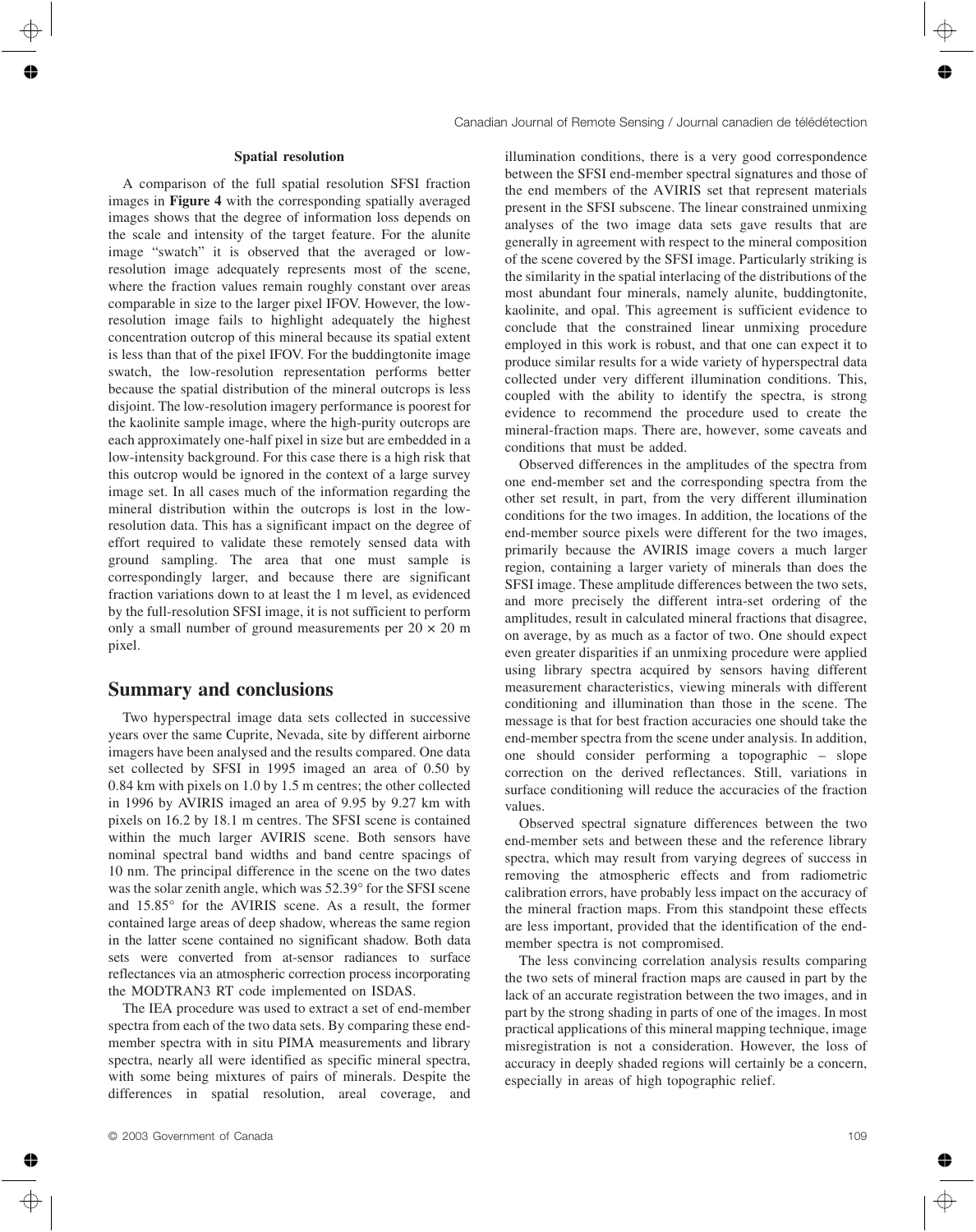#### **Spatial resolution**

A comparison of the full spatial resolution SFSI fraction images in **Figure 4** with the corresponding spatially averaged images shows that the degree of information loss depends on the scale and intensity of the target feature. For the alunite image "swatch" it is observed that the averaged or lowresolution image adequately represents most of the scene, where the fraction values remain roughly constant over areas comparable in size to the larger pixel IFOV. However, the lowresolution image fails to highlight adequately the highest concentration outcrop of this mineral because its spatial extent is less than that of the pixel IFOV. For the buddingtonite image swatch, the low-resolution representation performs better because the spatial distribution of the mineral outcrops is less disjoint. The low-resolution imagery performance is poorest for the kaolinite sample image, where the high-purity outcrops are each approximately one-half pixel in size but are embedded in a low-intensity background. For this case there is a high risk that this outcrop would be ignored in the context of a large survey image set. In all cases much of the information regarding the mineral distribution within the outcrops is lost in the lowresolution data. This has a significant impact on the degree of effort required to validate these remotely sensed data with ground sampling. The area that one must sample is correspondingly larger, and because there are significant fraction variations down to at least the 1 m level, as evidenced by the full-resolution SFSI image, it is not sufficient to perform only a small number of ground measurements per  $20 \times 20$  m pixel.

## **Summary and conclusions**

Two hyperspectral image data sets collected in successive years over the same Cuprite, Nevada, site by different airborne imagers have been analysed and the results compared. One data set collected by SFSI in 1995 imaged an area of 0.50 by 0.84 km with pixels on 1.0 by 1.5 m centres; the other collected in 1996 by AVIRIS imaged an area of 9.95 by 9.27 km with pixels on 16.2 by 18.1 m centres. The SFSI scene is contained within the much larger AVIRIS scene. Both sensors have nominal spectral band widths and band centre spacings of 10 nm. The principal difference in the scene on the two dates was the solar zenith angle, which was 52.39° for the SFSI scene and 15.85° for the AVIRIS scene. As a result, the former contained large areas of deep shadow, whereas the same region in the latter scene contained no significant shadow. Both data sets were converted from at-sensor radiances to surface reflectances via an atmospheric correction process incorporating the MODTRAN3 RT code implemented on ISDAS.

The IEA procedure was used to extract a set of end-member spectra from each of the two data sets. By comparing these endmember spectra with in situ PIMA measurements and library spectra, nearly all were identified as specific mineral spectra, with some being mixtures of pairs of minerals. Despite the differences in spatial resolution, areal coverage, and

illumination conditions, there is a very good correspondence between the SFSI end-member spectral signatures and those of the end members of the AVIRIS set that represent materials present in the SFSI subscene. The linear constrained unmixing analyses of the two image data sets gave results that are generally in agreement with respect to the mineral composition of the scene covered by the SFSI image. Particularly striking is the similarity in the spatial interlacing of the distributions of the most abundant four minerals, namely alunite, buddingtonite, kaolinite, and opal. This agreement is sufficient evidence to conclude that the constrained linear unmixing procedure employed in this work is robust, and that one can expect it to produce similar results for a wide variety of hyperspectral data collected under very different illumination conditions. This, coupled with the ability to identify the spectra, is strong evidence to recommend the procedure used to create the mineral-fraction maps. There are, however, some caveats and conditions that must be added.

Observed differences in the amplitudes of the spectra from one end-member set and the corresponding spectra from the other set result, in part, from the very different illumination conditions for the two images. In addition, the locations of the end-member source pixels were different for the two images, primarily because the AVIRIS image covers a much larger region, containing a larger variety of minerals than does the SFSI image. These amplitude differences between the two sets, and more precisely the different intra-set ordering of the amplitudes, result in calculated mineral fractions that disagree, on average, by as much as a factor of two. One should expect even greater disparities if an unmixing procedure were applied using library spectra acquired by sensors having different measurement characteristics, viewing minerals with different conditioning and illumination than those in the scene. The message is that for best fraction accuracies one should take the end-member spectra from the scene under analysis. In addition, one should consider performing a topographic – slope correction on the derived reflectances. Still, variations in surface conditioning will reduce the accuracies of the fraction values.

Observed spectral signature differences between the two end-member sets and between these and the reference library spectra, which may result from varying degrees of success in removing the atmospheric effects and from radiometric calibration errors, have probably less impact on the accuracy of the mineral fraction maps. From this standpoint these effects are less important, provided that the identification of the endmember spectra is not compromised.

The less convincing correlation analysis results comparing the two sets of mineral fraction maps are caused in part by the lack of an accurate registration between the two images, and in part by the strong shading in parts of one of the images. In most practical applications of this mineral mapping technique, image misregistration is not a consideration. However, the loss of accuracy in deeply shaded regions will certainly be a concern, especially in areas of high topographic relief.